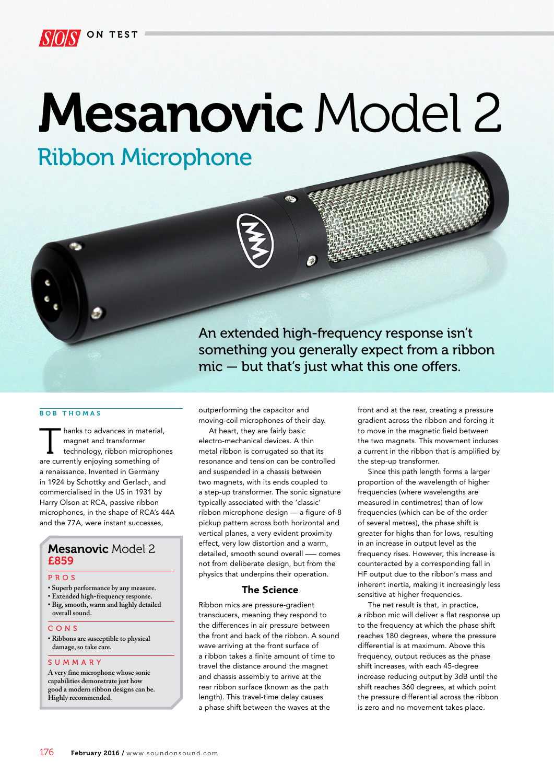

# Mesanovic Model 2

Ribbon Microphone



Ð

# **BOB THOMAS**

Thanks to advances in material,<br>
magnet and transformer<br>
technology, ribbon microphones<br>
the contract of magnet and transformer are currently enjoying something of a renaissance. Invented in Germany in 1924 by Schottky and Gerlach, and commercialised in the US in 1931 by Harry Olson at RCA, passive ribbon microphones, in the shape of RCA's 44A and the 77A, were instant successes,

# Mesanovic Model 2 £859

#### p r o s

- **Superb performance by any measure.**
- **Extended high-frequency response.**
- **Big, smooth, warm and highly detailed overall sound.**

#### c o n s

**• Ribbons are susceptible to physical damage, so take care.**

#### s u m m a r y

**A very fine microphone whose sonic capabilities demonstrate just how good a modern ribbon designs can be. Highly recommended.**

outperforming the capacitor and moving-coil microphones of their day.

At heart, they are fairly basic electro-mechanical devices. A thin metal ribbon is corrugated so that its resonance and tension can be controlled and suspended in a chassis between two magnets, with its ends coupled to a step-up transformer. The sonic signature typically associated with the 'classic' ribbon microphone design — a figure-of-8 pickup pattern across both horizontal and vertical planes, a very evident proximity effect, very low distortion and a warm, detailed, smooth sound overall –— comes not from deliberate design, but from the physics that underpins their operation.

### The Science

Ribbon mics are pressure-gradient transducers, meaning they respond to the differences in air pressure between the front and back of the ribbon. A sound wave arriving at the front surface of a ribbon takes a finite amount of time to travel the distance around the magnet and chassis assembly to arrive at the rear ribbon surface (known as the path length). This travel-time delay causes a phase shift between the waves at the

front and at the rear, creating a pressure gradient across the ribbon and forcing it to move in the magnetic field between the two magnets. This movement induces a current in the ribbon that is amplified by the step-up transformer.

Since this path length forms a larger proportion of the wavelength of higher frequencies (where wavelengths are measured in centimetres) than of low frequencies (which can be of the order of several metres), the phase shift is greater for highs than for lows, resulting in an increase in output level as the frequency rises. However, this increase is counteracted by a corresponding fall in HF output due to the ribbon's mass and inherent inertia, making it increasingly less sensitive at higher frequencies.

The net result is that, in practice, a ribbon mic will deliver a flat response up to the frequency at which the phase shift reaches 180 degrees, where the pressure differential is at maximum. Above this frequency, output reduces as the phase shift increases, with each 45-degree increase reducing output by 3dB until the shift reaches 360 degrees, at which point the pressure differential across the ribbon is zero and no movement takes place.